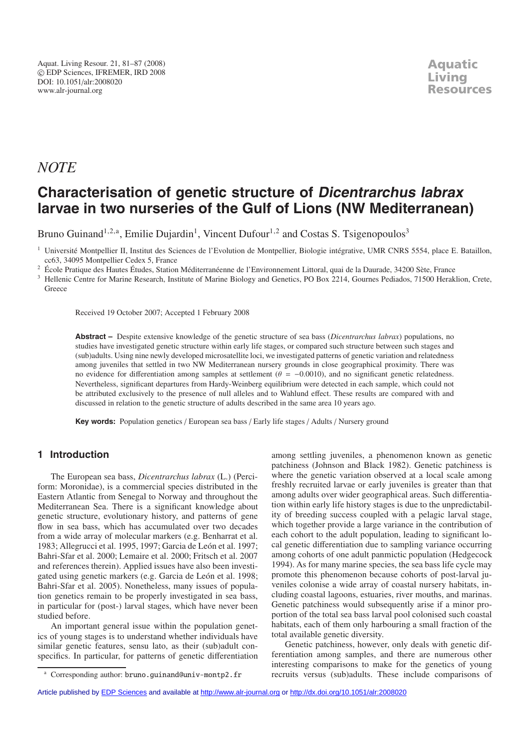## *NOTE*

# **Characterisation of genetic structure of Dicentrarchus labrax larvae in two nurseries of the Gulf of Lions (NW Mediterranean)**

Bruno Guinand<sup>1,2,a</sup>, Emilie Dujardin<sup>1</sup>, Vincent Dufour<sup>1,2</sup> and Costas S. Tsigenopoulos<sup>3</sup>

<sup>1</sup> Université Montpellier II, Institut des Sciences de l'Evolution de Montpellier, Biologie intégrative, UMR CNRS 5554, place E. Bataillon, cc63, 34095 Montpellier Cedex 5, France

<sup>2</sup> École Pratique des Hautes Études, Station Méditerranéenne de l'Environnement Littoral, quai de la Daurade, 34200 Sète, France

Received 19 October 2007; Accepted 1 February 2008

**Abstract –** Despite extensive knowledge of the genetic structure of sea bass (*Dicentrarchus labrax*) populations, no studies have investigated genetic structure within early life stages, or compared such structure between such stages and (sub)adults. Using nine newly developed microsatellite loci, we investigated patterns of genetic variation and relatedness among juveniles that settled in two NW Mediterranean nursery grounds in close geographical proximity. There was no evidence for differentiation among samples at settlement ( $\theta = -0.0010$ ), and no significant genetic relatedness. Nevertheless, significant departures from Hardy-Weinberg equilibrium were detected in each sample, which could not be attributed exclusively to the presence of null alleles and to Wahlund effect. These results are compared with and discussed in relation to the genetic structure of adults described in the same area 10 years ago.

**Key words:** Population genetics / European sea bass / Early life stages / Adults / Nursery ground

### **1 Introduction**

The European sea bass, *Dicentrarchus labrax* (L.) (Perciform: Moronidae), is a commercial species distributed in the Eastern Atlantic from Senegal to Norway and throughout the Mediterranean Sea. There is a significant knowledge about genetic structure, evolutionary history, and patterns of gene flow in sea bass, which has accumulated over two decades from a wide array of molecular markers (e.g. Benharrat et al. 1983; Allegrucci et al. 1995, 1997; Garcia de León et al. 1997; Bahri-Sfar et al. 2000; Lemaire et al. 2000; Fritsch et al. 2007 and references therein). Applied issues have also been investigated using genetic markers (e.g. Garcia de León et al. 1998; Bahri-Sfar et al. 2005). Nonetheless, many issues of population genetics remain to be properly investigated in sea bass, in particular for (post-) larval stages, which have never been studied before.

An important general issue within the population genetics of young stages is to understand whether individuals have similar genetic features, sensu lato, as their (sub)adult conspecifics. In particular, for patterns of genetic differentiation

among settling juveniles, a phenomenon known as genetic patchiness (Johnson and Black 1982). Genetic patchiness is where the genetic variation observed at a local scale among freshly recruited larvae or early juveniles is greater than that among adults over wider geographical areas. Such differentiation within early life history stages is due to the unpredictability of breeding success coupled with a pelagic larval stage, which together provide a large variance in the contribution of each cohort to the adult population, leading to significant local genetic differentiation due to sampling variance occurring among cohorts of one adult panmictic population (Hedgecock 1994). As for many marine species, the sea bass life cycle may promote this phenomenon because cohorts of post-larval juveniles colonise a wide array of coastal nursery habitats, including coastal lagoons, estuaries, river mouths, and marinas. Genetic patchiness would subsequently arise if a minor proportion of the total sea bass larval pool colonised such coastal habitats, each of them only harbouring a small fraction of the total available genetic diversity.

Genetic patchiness, however, only deals with genetic differentiation among samples, and there are numerous other interesting comparisons to make for the genetics of young recruits versus (sub)adults. These include comparisons of

<sup>&</sup>lt;sup>3</sup> Hellenic Centre for Marine Research, Institute of Marine Biology and Genetics, PO Box 2214, Gournes Pediados, 71500 Heraklion, Crete, **Greece** 

<sup>&</sup>lt;sup>a</sup> Corresponding author: bruno.guinand@univ-montp2.fr

Article published by [EDP Sciences](http://www.edpsciences.org) and available at<http://www.alr-journal.org> or <http://dx.doi.org/10.1051/alr:2008020>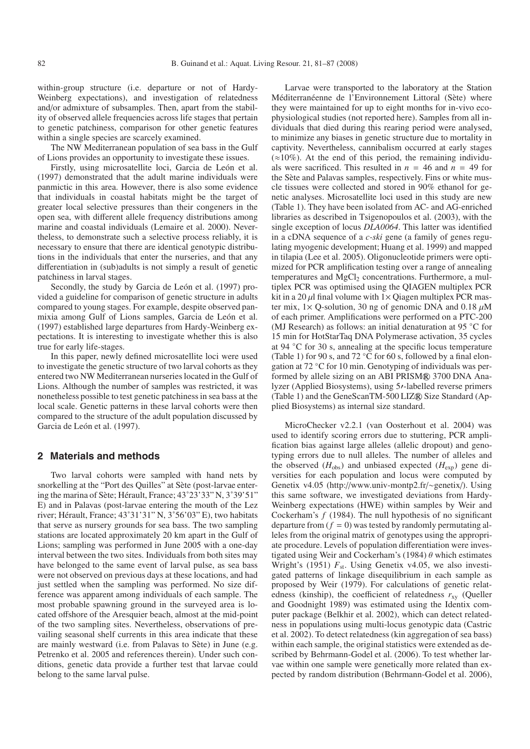within-group structure (i.e. departure or not of Hardy-Weinberg expectations), and investigation of relatedness and/or admixture of subsamples. Then, apart from the stability of observed allele frequencies across life stages that pertain to genetic patchiness, comparison for other genetic features within a single species are scarcely examined.

The NW Mediterranean population of sea bass in the Gulf of Lions provides an opportunity to investigate these issues.

Firstly, using microsatellite loci, Garcia de León et al. (1997) demonstrated that the adult marine individuals were panmictic in this area. However, there is also some evidence that individuals in coastal habitats might be the target of greater local selective pressures than their congeners in the open sea, with different allele frequency distributions among marine and coastal individuals (Lemaire et al. 2000). Nevertheless, to demonstrate such a selective process reliably, it is necessary to ensure that there are identical genotypic distributions in the individuals that enter the nurseries, and that any differentiation in (sub)adults is not simply a result of genetic patchiness in larval stages.

Secondly, the study by Garcia de León et al. (1997) provided a guideline for comparison of genetic structure in adults compared to young stages. For example, despite observed panmixia among Gulf of Lions samples, Garcia de León et al. (1997) established large departures from Hardy-Weinberg expectations. It is interesting to investigate whether this is also true for early life-stages.

In this paper, newly defined microsatellite loci were used to investigate the genetic structure of two larval cohorts as they entered two NW Mediterranean nurseries located in the Gulf of Lions. Although the number of samples was restricted, it was nonetheless possible to test genetic patchiness in sea bass at the local scale. Genetic patterns in these larval cohorts were then compared to the structure of the adult population discussed by Garcia de León et al. (1997).

#### **2 Materials and methods**

Two larval cohorts were sampled with hand nets by snorkelling at the "Port des Quilles" at Sète (post-larvae entering the marina of Sète; Hérault, France; 43˚23'33" N, 3˚39'51" E) and in Palavas (post-larvae entering the mouth of the Lez river; Hérault, France; 43˚31'31" N, 3˚56'03" E), two habitats that serve as nursery grounds for sea bass. The two sampling stations are located approximately 20 km apart in the Gulf of Lions; sampling was performed in June 2005 with a one-day interval between the two sites. Individuals from both sites may have belonged to the same event of larval pulse, as sea bass were not observed on previous days at these locations, and had just settled when the sampling was performed. No size difference was apparent among individuals of each sample. The most probable spawning ground in the surveyed area is located offshore of the Aresquier beach, almost at the mid-point of the two sampling sites. Nevertheless, observations of prevailing seasonal shelf currents in this area indicate that these are mainly westward (i.e. from Palavas to Sète) in June (e.g. Petrenko et al. 2005 and references therein). Under such conditions, genetic data provide a further test that larvae could belong to the same larval pulse.

Larvae were transported to the laboratory at the Station Méditerranéenne de l'Environnement Littoral (Sète) where they were maintained for up to eight months for in-vivo ecophysiological studies (not reported here). Samples from all individuals that died during this rearing period were analysed, to minimize any biases in genetic structure due to mortality in captivity. Nevertheless, cannibalism occurred at early stages  $(\approx 10\%)$ . At the end of this period, the remaining individuals were sacrificed. This resulted in  $n = 46$  and  $n = 49$  for the Sète and Palavas samples, respectively. Fins or white muscle tissues were collected and stored in 90% ethanol for genetic analyses. Microsatellite loci used in this study are new (Table 1). They have been isolated from AC- and AG-enriched libraries as described in Tsigenopoulos et al. (2003), with the single exception of locus *DLA0064*. This latter was identified in a cDNA sequence of a *c-ski* gene (a family of genes regulating myogenic development; Huang et al. 1999) and mapped in tilapia (Lee et al. 2005). Oligonucleotide primers were optimized for PCR amplification testing over a range of annealing temperatures and  $MgCl<sub>2</sub>$  concentrations. Furthermore, a multiplex PCR was optimised using the QIAGEN multiplex PCR kit in a 20  $\mu$  final volume with  $1 \times$  Qiagen multiplex PCR master mix,  $1 \times$  Q-solution, 30 ng of genomic DNA and 0.18  $\mu$ M of each primer. Amplifications were performed on a PTC-200 (MJ Research) as follows: an initial denaturation at 95 ◦C for 15 min for HotStarTaq DNA Polymerase activation, 35 cycles at 94 ◦C for 30 s, annealing at the specific locus temperature (Table 1) for 90 s, and 72  $°C$  for 60 s, followed by a final elongation at 72 ◦C for 10 min. Genotyping of individuals was performed by allele sizing on an ABI PRISM® 3700 DNA Analyzer (Applied Biosystems), using 5<sup>1</sup>-labelled reverse primers (Table 1) and the GeneScanTM-500 LIZ® Size Standard (Applied Biosystems) as internal size standard.

MicroChecker v2.2.1 (van Oosterhout et al. 2004) was used to identify scoring errors due to stuttering, PCR amplification bias against large alleles (allelic dropout) and genotyping errors due to null alleles. The number of alleles and the observed  $(H_{obs})$  and unbiased expected  $(H_{exp})$  gene diversities for each population and locus were computed by Genetix v4.05 (http://www.univ-montp2.fr/∼genetix/). Using this same software, we investigated deviations from Hardy-Weinberg expectations (HWE) within samples by Weir and Cockerham's *f* (1984). The null hypothesis of no significant departure from  $(f = 0)$  was tested by randomly permutating alleles from the original matrix of genotypes using the appropriate procedure. Levels of population differentiation were investigated using Weir and Cockerham's (1984)  $\theta$  which estimates Wright's (1951)  $F_{st}$ . Using Genetix v4.05, we also investigated patterns of linkage disequilibrium in each sample as proposed by Weir (1979). For calculations of genetic relatedness (kinship), the coefficient of relatedness  $r_{xy}$  (Queller and Goodnight 1989) was estimated using the Identix computer package (Belkhir et al. 2002), which can detect relatedness in populations using multi-locus genotypic data (Castric et al. 2002). To detect relatedness (kin aggregation of sea bass) within each sample, the original statistics were extended as described by Behrmann-Godel et al. (2006). To test whether larvae within one sample were genetically more related than expected by random distribution (Behrmann-Godel et al. 2006),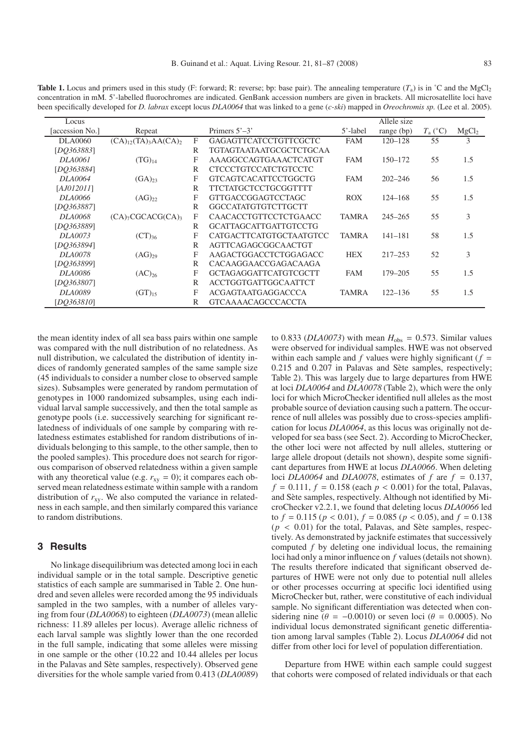**Table 1.** Locus and primers used in this study (F: forward; R: reverse; bp: base pair). The annealing temperature  $(T_a)$  is in °C and the MgCl<sub>2</sub> concentration in mM. 5'-labelled fluorochromes are indicated. GenBank accession numbers are given in brackets. All microsatellite loci have been specifically developed for *D. labrax* except locus *DLA0064* that was linked to a gene (*c-ski*) mapped in *Oreochromis sp.* (Lee et al. 2005).

| Locus                  |                                  |   |                              |              | Allele size  |                  |                   |
|------------------------|----------------------------------|---|------------------------------|--------------|--------------|------------------|-------------------|
| <b>Jaccession No.1</b> | Repeat                           |   | Primers $5'$ –3'             | 5'-label     | range $(bp)$ | $T_{\rm a}$ (°C) | MgCl <sub>2</sub> |
| <b>DLA0060</b>         | $(CA)_{12}$ $(TA)_{3}AA(CA)_{2}$ | F | <b>GAGAGTTCATCCTGTTCGCTC</b> | <b>FAM</b>   | $120 - 128$  | 55               | 3                 |
| [DO363883]             |                                  | R | TGTAGTAATAATGCGCTCTGCAA      |              |              |                  |                   |
| DLA0061                | $(TG)_{14}$                      | F | AAAGGCCAGTGAAACTCATGT        | <b>FAM</b>   | 150-172      | 55               | 1.5               |
| [DO363884]             |                                  | R | <b>CTCCCTGTCCATCTGTCCTC</b>  |              |              |                  |                   |
| DLA0064                | $(GA)_{23}$                      | F | <b>GTCAGTCACATTCCTGGCTG</b>  | <b>FAM</b>   | $202 - 246$  | 56               | 1.5               |
| [AJ012011]             |                                  | R | TTCTATGCTCCTGCGGTTTT         |              |              |                  |                   |
| DLA0066                | $(AG)_{22}$                      | F | <b>GTTGACCGGAGTCCTAGC</b>    | <b>ROX</b>   | $124 - 168$  | 55               | 1.5               |
| [DO363887]             |                                  | R | GGCCATATGTGTCTTGCTT          |              |              |                  |                   |
| DLA0068                | $(CA)7CGCACG(CA)3$               | F | <b>CAACACCTGTTCCTCTGAACC</b> | <b>TAMRA</b> | $245 - 265$  | 55               | 3                 |
| [DO363889]             |                                  | R | <b>GCATTAGCATTGATTGTCCTG</b> |              |              |                  |                   |
| DLA0073                | $(CT)_{36}$                      | F | CATGACTTCATGTGCTAATGTCC      | <b>TAMRA</b> | $141 - 181$  | 58               | 1.5               |
| [DO363894]             |                                  | R | AGTTCAGAGCGGCAACTGT          |              |              |                  |                   |
| <i>DLA0078</i>         | $(AG)_{29}$                      | F | AAGACTGGACCTCTGGAGACC        | <b>HEX</b>   | $217 - 253$  | 52               | 3                 |
| [DO363899]             |                                  | R | CACAAGGAACCGAGACAAGA         |              |              |                  |                   |
| <b>DLA0086</b>         | $(AC)_{26}$                      | F | <b>GCTAGAGGATTCATGTCGCTT</b> | <b>FAM</b>   | 179-205      | 55               | 1.5               |
| [DO363807]             |                                  | R | <b>ACCTGGTGATTGGCAATTCT</b>  |              |              |                  |                   |
| DLA0089                | $(GT)_{15}$                      | F | <b>ACGAGTAATGAGGACCCA</b>    | <b>TAMRA</b> | $122 - 136$  | 55               | 1.5               |
| [DO363810]             |                                  | R | <b>GTCAAAACAGCCCACCTA</b>    |              |              |                  |                   |

the mean identity index of all sea bass pairs within one sample was compared with the null distribution of no relatedness. As null distribution, we calculated the distribution of identity indices of randomly generated samples of the same sample size (45 individuals to consider a number close to observed sample sizes). Subsamples were generated by random permutation of genotypes in 1000 randomized subsamples, using each individual larval sample successively, and then the total sample as genotype pools (i.e. successively searching for significant relatedness of individuals of one sample by comparing with relatedness estimates established for random distributions of individuals belonging to this sample, to the other sample, then to the pooled samples). This procedure does not search for rigorous comparison of observed relatedness within a given sample with any theoretical value (e.g.  $r_{xy} = 0$ ); it compares each observed mean relatedness estimate within sample with a random distribution of  $r_{xy}$ . We also computed the variance in relatedness in each sample, and then similarly compared this variance to random distributions.

#### **3 Results**

No linkage disequilibrium was detected among loci in each individual sample or in the total sample. Descriptive genetic statistics of each sample are summarised in Table 2. One hundred and seven alleles were recorded among the 95 individuals sampled in the two samples, with a number of alleles varying from four (*DLA0068*) to eighteen (*DLA0073*) (mean allelic richness: 11.89 alleles per locus). Average allelic richness of each larval sample was slightly lower than the one recorded in the full sample, indicating that some alleles were missing in one sample or the other (10.22 and 10.44 alleles per locus in the Palavas and Sète samples, respectively). Observed gene diversities for the whole sample varied from 0.413 (*DLA0089*)

to 0.833 ( $DLA0073$ ) with mean  $H_{obs} = 0.573$ . Similar values were observed for individual samples. HWE was not observed within each sample and  $f$  values were highly significant  $(f =$ 0.215 and 0.207 in Palavas and Sète samples, respectively; Table 2). This was largely due to large departures from HWE at loci *DLA0064* and *DLA0078* (Table 2), which were the only loci for which MicroChecker identified null alleles as the most probable source of deviation causing such a pattern. The occurrence of null alleles was possibly due to cross-species amplification for locus *DLA0064*, as this locus was originally not developed for sea bass (see Sect. 2). According to MicroChecker, the other loci were not affected by null alleles, stuttering or large allele dropout (details not shown), despite some significant departures from HWE at locus *DLA0066*. When deleting loci *DLA0064* and *DLA0078*, estimates of  $f$  are  $f = 0.137$ ,  $f = 0.111, f = 0.158$  (each  $p < 0.001$ ) for the total, Palavas, and Sète samples, respectively. Although not identified by MicroChecker v2.2.1, we found that deleting locus *DLA0066* led to  $f = 0.115$  ( $p < 0.01$ ),  $f = 0.085$  ( $p < 0.05$ ), and  $f = 0.138$  $(p < 0.01)$  for the total, Palavas, and Sète samples, respectively. As demonstrated by jacknife estimates that successively computed *f* by deleting one individual locus, the remaining loci had only a minor influence on *f* values (details not shown). The results therefore indicated that significant observed departures of HWE were not only due to potential null alleles or other processes occurring at specific loci identified using MicroChecker but, rather, were constitutive of each individual sample. No significant differentiation was detected when considering nine ( $\theta = -0.0010$ ) or seven loci ( $\theta = 0.0005$ ). No individual locus demonstrated significant genetic differentiation among larval samples (Table 2). Locus *DLA0064* did not differ from other loci for level of population differentiation.

Departure from HWE within each sample could suggest that cohorts were composed of related individuals or that each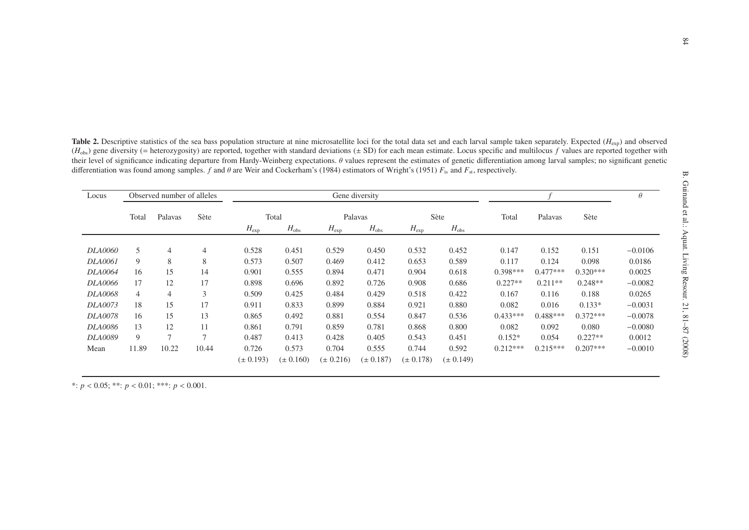| Locus          | Observed number of alleles |                |                | Gene diversity |               |               |               |               |               |            |            |            | $\theta$  |
|----------------|----------------------------|----------------|----------------|----------------|---------------|---------------|---------------|---------------|---------------|------------|------------|------------|-----------|
|                | Total                      | Palavas        | Sète           | Total          |               | Palavas       |               | Sète          |               | Total      | Palavas    | Sète       |           |
|                |                            |                |                | $H_{\rm exp}$  | $H_{\rm obs}$ | $H_{\rm exp}$ | $H_{\rm obs}$ | $H_{\rm exp}$ | $H_{\rm obs}$ |            |            |            |           |
| <b>DLA0060</b> | 5                          | 4              | $\overline{4}$ | 0.528          | 0.451         | 0.529         | 0.450         | 0.532         | 0.452         | 0.147      | 0.152      | 0.151      | $-0.0106$ |
| <b>DLA0061</b> | 9                          | 8              | 8              | 0.573          | 0.507         | 0.469         | 0.412         | 0.653         | 0.589         | 0.117      | 0.124      | 0.098      | 0.0186    |
| <b>DLA0064</b> | 16                         | 15             | 14             | 0.901          | 0.555         | 0.894         | 0.471         | 0.904         | 0.618         | $0.398***$ | $0.477***$ | $0.320***$ | 0.0025    |
| <b>DLA0066</b> | 17                         | 12             | 17             | 0.898          | 0.696         | 0.892         | 0.726         | 0.908         | 0.686         | $0.227**$  | $0.211**$  | $0.248**$  | $-0.0082$ |
| <b>DLA0068</b> | $\overline{4}$             | $\overline{4}$ | 3              | 0.509          | 0.425         | 0.484         | 0.429         | 0.518         | 0.422         | 0.167      | 0.116      | 0.188      | 0.0265    |
| <b>DLA0073</b> | 18                         | 15             | 17             | 0.911          | 0.833         | 0.899         | 0.884         | 0.921         | 0.880         | 0.082      | 0.016      | $0.133*$   | $-0.0031$ |
| <b>DLA0078</b> | 16                         | 15             | 13             | 0.865          | 0.492         | 0.881         | 0.554         | 0.847         | 0.536         | $0.433***$ | $0.488***$ | $0.372***$ | $-0.0078$ |
| <b>DLA0086</b> | 13                         | 12             | 11             | 0.861          | 0.791         | 0.859         | 0.781         | 0.868         | 0.800         | 0.082      | 0.092      | 0.080      | $-0.0080$ |
| <b>DLA0089</b> | 9                          | $\overline{ }$ | $\overline{7}$ | 0.487          | 0.413         | 0.428         | 0.405         | 0.543         | 0.451         | $0.152*$   | 0.054      | $0.227**$  | 0.0012    |
| Mean           | 11.89                      | 10.22          | 10.44          | 0.726          | 0.573         | 0.704         | 0.555         | 0.744         | 0.592         | $0.212***$ | $0.215***$ | $0.207***$ | $-0.0010$ |
|                |                            |                |                | $(\pm 0.193)$  | $(\pm 0.160)$ | $(\pm 0.216)$ | $(\pm 0.187)$ | $(\pm 0.178)$ | $(\pm 0.149)$ |            |            |            |           |

Table 2. Descriptive statistics of the sea bass population structure at nine microsatellite loci for the total data set and each larval sample taken separately. Expected (*H*<sub>exp</sub>) and observed  $(H_{obs})$  gene diversity (= heterozygosity) are reported, together with standard deviations ( $\pm$  SD) for each mean estimate. Locus specific and multilocus *f* values are reported together with their level of significance indicating departure from Hardy-Weinberg expectations. θ values represent the estimates of genetic differentiation among larval samples; no significant genetic differentiation was found among samples. *f* and  $\theta$  are Weir and Cockerham's (1984) estimators of Wright's (1951)  $F_{is}$  and  $F_{st}$ , respectively.

\*:  $p < 0.05$ ; \*\*:  $p < 0.01$ ; \*\*\*:  $p < 0.001$ .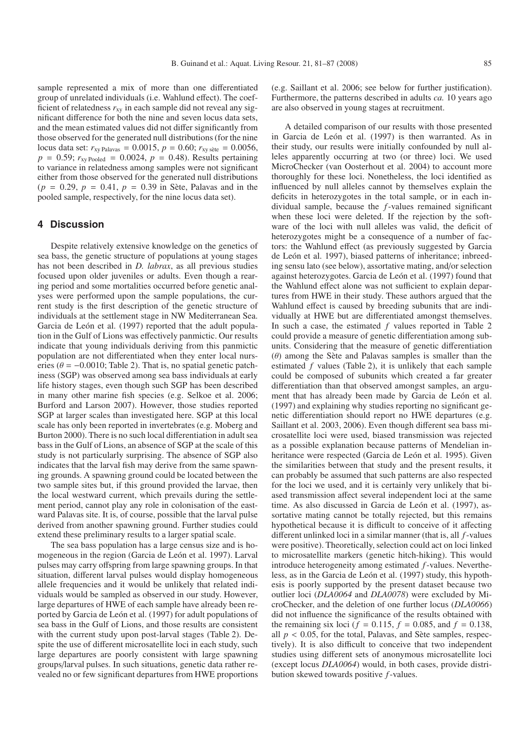sample represented a mix of more than one differentiated group of unrelated individuals (i.e. Wahlund effect). The coefficient of relatedness  $r_{xy}$  in each sample did not reveal any significant difference for both the nine and seven locus data sets, and the mean estimated values did not differ significantly from those observed for the generated null distributions (for the nine locus data set:  $r_{xy}$  Palavas = 0.0015,  $p = 0.60$ ;  $r_{xy \text{ site}} = 0.0056$ ,  $p = 0.59$ ;  $r_{xy \text{ Pooled}} = 0.0024$ ,  $p = 0.48$ ). Results pertaining to variance in relatedness among samples were not significant either from those observed for the generated null distributions  $(p = 0.29, p = 0.41, p = 0.39$  in Sète, Palavas and in the pooled sample, respectively, for the nine locus data set).

#### **4 Discussion**

Despite relatively extensive knowledge on the genetics of sea bass, the genetic structure of populations at young stages has not been described in *D. labrax*, as all previous studies focused upon older juveniles or adults. Even though a rearing period and some mortalities occurred before genetic analyses were performed upon the sample populations, the current study is the first description of the genetic structure of individuals at the settlement stage in NW Mediterranean Sea. Garcia de León et al. (1997) reported that the adult population in the Gulf of Lions was effectively panmictic. Our results indicate that young individuals deriving from this panmictic population are not differentiated when they enter local nurseries ( $\theta = -0.0010$ ; Table 2). That is, no spatial genetic patchiness (SGP) was observed among sea bass individuals at early life history stages, even though such SGP has been described in many other marine fish species (e.g. Selkoe et al. 2006; Burford and Larson 2007). However, those studies reported SGP at larger scales than investigated here. SGP at this local scale has only been reported in invertebrates (e.g. Moberg and Burton 2000). There is no such local differentiation in adult sea bass in the Gulf of Lions, an absence of SGP at the scale of this study is not particularly surprising. The absence of SGP also indicates that the larval fish may derive from the same spawning grounds. A spawning ground could be located between the two sample sites but, if this ground provided the larvae, then the local westward current, which prevails during the settlement period, cannot play any role in colonisation of the eastward Palavas site. It is, of course, possible that the larval pulse derived from another spawning ground. Further studies could extend these preliminary results to a larger spatial scale.

The sea bass population has a large census size and is homogeneous in the region (Garcia de León et al. 1997). Larval pulses may carry offspring from large spawning groups. In that situation, different larval pulses would display homogeneous allele frequencies and it would be unlikely that related individuals would be sampled as observed in our study. However, large departures of HWE of each sample have already been reported by Garcia de León et al. (1997) for adult populations of sea bass in the Gulf of Lions, and those results are consistent with the current study upon post-larval stages (Table 2). Despite the use of different microsatellite loci in each study, such large departures are poorly consistent with large spawning groups/larval pulses. In such situations, genetic data rather revealed no or few significant departures from HWE proportions (e.g. Saillant et al. 2006; see below for further justification). Furthermore, the patterns described in adults *ca.* 10 years ago are also observed in young stages at recruitment.

A detailed comparison of our results with those presented in Garcia de León et al. (1997) is then warranted. As in their study, our results were initially confounded by null alleles apparently occurring at two (or three) loci. We used MicroChecker (van Oosterhout et al. 2004) to account more thoroughly for these loci. Nonetheless, the loci identified as influenced by null alleles cannot by themselves explain the deficits in heterozygotes in the total sample, or in each individual sample, because the *f*-values remained significant when these loci were deleted. If the rejection by the software of the loci with null alleles was valid, the deficit of heterozygotes might be a consequence of a number of factors: the Wahlund effect (as previously suggested by Garcia de León et al. 1997), biased patterns of inheritance; inbreeding sensu lato (see below), assortative mating, and/or selection against heterozygotes. Garcia de León et al. (1997) found that the Wahlund effect alone was not sufficient to explain departures from HWE in their study. These authors argued that the Wahlund effect is caused by breeding subunits that are individually at HWE but are differentiated amongst themselves. In such a case, the estimated *f* values reported in Table 2 could provide a measure of genetic differentiation among subunits. Considering that the measure of genetic differentiation  $(\theta)$  among the Sète and Palavas samples is smaller than the estimated *f* values (Table 2), it is unlikely that each sample could be composed of subunits which created a far greater differentiation than that observed amongst samples, an argument that has already been made by Garcia de León et al. (1997) and explaining why studies reporting no significant genetic differentiation should report no HWE departures (e.g. Saillant et al. 2003, 2006). Even though different sea bass microsatellite loci were used, biased transmission was rejected as a possible explanation because patterns of Mendelian inheritance were respected (Garcia de León et al. 1995). Given the similarities between that study and the present results, it can probably be assumed that such patterns are also respected for the loci we used, and it is certainly very unlikely that biased transmission affect several independent loci at the same time. As also discussed in Garcia de León et al. (1997), assortative mating cannot be totally rejected, but this remains hypothetical because it is difficult to conceive of it affecting different unlinked loci in a similar manner (that is, all *f*-values were positive). Theoretically, selection could act on loci linked to microsatellite markers (genetic hitch-hiking). This would introduce heterogeneity among estimated *f*-values. Nevertheless, as in the Garcia de León et al. (1997) study, this hypothesis is poorly supported by the present dataset because two outlier loci (*DLA0064* and *DLA0078*) were excluded by MicroChecker, and the deletion of one further locus (*DLA0066*) did not influence the significance of the results obtained with the remaining six loci ( $f = 0.115$ ,  $f = 0.085$ , and  $f = 0.138$ , all  $p < 0.05$ , for the total, Palavas, and Sète samples, respectively). It is also difficult to conceive that two independent studies using different sets of anonymous microsatellite loci (except locus *DLA0064*) would, in both cases, provide distribution skewed towards positive *f*-values.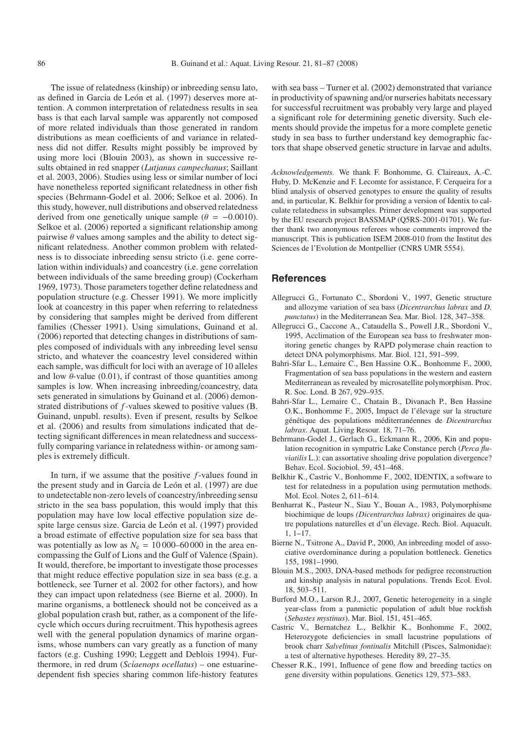The issue of relatedness (kinship) or inbreeding sensu lato, as defined in Garcia de León et al. (1997) deserves more attention. A common interpretation of relatedness results in sea bass is that each larval sample was apparently not composed of more related individuals than those generated in random distributions as mean coefficients of and variance in relatedness did not differ. Results might possibly be improved by using more loci (Blouin 2003), as shown in successive results obtained in red snapper (*Lutjanus campechanus*; Saillant et al. 2003, 2006). Studies using less or similar number of loci have nonetheless reported significant relatedness in other fish species (Behrmann-Godel et al. 2006; Selkoe et al. 2006). In this study, however, null distributions and observed relatedness derived from one genetically unique sample ( $\theta = -0.0010$ ). Selkoe et al. (2006) reported a significant relationship among pairwise  $\theta$  values among samples and the ability to detect significant relatedness. Another common problem with relatedness is to dissociate inbreeding sensu stricto (i.e. gene correlation within individuals) and coancestry (i.e. gene correlation between individuals of the same breeding group) (Cockerham 1969, 1973). Those parameters together define relatedness and population structure (e.g. Chesser 1991). We more implicitly look at coancestry in this paper when referring to relatedness by considering that samples might be derived from different families (Chesser 1991). Using simulations, Guinand et al. (2006) reported that detecting changes in distributions of samples composed of individuals with any inbreeding level sensu stricto, and whatever the coancestry level considered within each sample, was difficult for loci with an average of 10 alleles and low  $\theta$ -value (0.01), if contrast of those quantities among samples is low. When increasing inbreeding/coancestry, data sets generated in simulations by Guinand et al. (2006) demonstrated distributions of *f*-values skewed to positive values (B. Guinand, unpubl. results). Even if present, results by Selkoe et al. (2006) and results from simulations indicated that detecting significant differences in mean relatedness and successfully comparing variance in relatedness within- or among samples is extremely difficult.

In turn, if we assume that the positive *f*-values found in the present study and in Garcia de León et al. (1997) are due to undetectable non-zero levels of coancestry/inbreeding sensu stricto in the sea bass population, this would imply that this population may have low local effective population size despite large census size. Garcia de León et al. (1997) provided a broad estimate of effective population size for sea bass that was potentially as low as  $N_e = 10000-60000$  in the area encompassing the Gulf of Lions and the Gulf of Valence (Spain). It would, therefore, be important to investigate those processes that might reduce effective population size in sea bass (e.g. a bottleneck, see Turner et al. 2002 for other factors), and how they can impact upon relatedness (see Bierne et al. 2000). In marine organisms, a bottleneck should not be conceived as a global population crash but, rather, as a component of the lifecycle which occurs during recruitment. This hypothesis agrees well with the general population dynamics of marine organisms, whose numbers can vary greatly as a function of many factors (e.g. Cushing 1990; Leggett and Deblois 1994). Furthermore, in red drum (*Sciaenops ocellatus*) – one estuarinedependent fish species sharing common life-history features

with sea bass – Turner et al. (2002) demonstrated that variance in productivity of spawning and/or nurseries habitats necessary for successful recruitment was probably very large and played a significant role for determining genetic diversity. Such elements should provide the impetus for a more complete genetic study in sea bass to further understand key demographic factors that shape observed genetic structure in larvae and adults.

*Acknowledgements.* We thank F. Bonhomme, G. Claireaux, A.-C. Huby, D. McKenzie and F. Lecomte for assistance, F. Cerqueira for a blind analysis of observed genotypes to ensure the quality of results and, in particular, K. Belkhir for providing a version of Identix to calculate relatedness in subsamples. Primer development was supported by the EU research project BASSMAP (Q5RS-2001-01701). We further thank two anonymous referees whose comments improved the manuscript. This is publication ISEM 2008-010 from the Institut des Sciences de l'Evolution de Montpellier (CNRS UMR 5554).

#### **References**

- Allegrucci G., Fortunato C., Sbordoni V., 1997, Genetic structure and allozyme variation of sea bass (*Dicentrarchus labrax* and *D. punctatus*) in the Mediterranean Sea. Mar. Biol. 128, 347–358.
- Allegrucci G., Caccone A., Cataudella S., Powell J.R., Sbordoni V., 1995, Acclimation of the European sea bass to freshwater monitoring genetic changes by RAPD polymerase chain reaction to detect DNA polymorphisms. Mar. Biol. 121, 591–599.
- Bahri-Sfar L., Lemaire C., Ben Hassine O.K., Bonhomme F., 2000, Fragmentation of sea bass populations in the western and eastern Mediterranean as revealed by microsatellite polymorphism. Proc. R. Soc. Lond. B 267, 929–935.
- Bahri-Sfar L., Lemaire C., Chatain B., Divanach P., Ben Hassine O.K., Bonhomme F., 2005, Impact de l'élevage sur la structure génétique des populations méditerranéennes de *Dicentrarchus labrax*. Aquat. Living Resour. 18, 71–76.
- Behrmann-Godel J., Gerlach G., Eckmann R., 2006, Kin and population recognition in sympatric Lake Constance perch (*Perca fluviatilis* L.): can assortative shoaling drive population divergence? Behav. Ecol. Sociobiol. 59, 451–468.
- Belkhir K., Castric V., Bonhomme F., 2002, IDENTIX, a software to test for relatedness in a population using permutation methods. Mol. Ecol. Notes 2, 611–614.
- Benharrat K., Pasteur N., Siau Y., Bouan A., 1983, Polymorphisme biochimique de loups *(Dicentrarchus labrax)* originaires de quatre populations naturelles et d'un élevage. Rech. Biol. Aquacult. 1, 1–17.
- Bierne N., Tsitrone A., David P., 2000, An inbreeding model of associative overdominance during a population bottleneck. Genetics 155, 1981–1990.
- Blouin M.S., 2003, DNA-based methods for pedigree reconstruction and kinship analysis in natural populations. Trends Ecol. Evol. 18, 503–511.
- Burford M.O., Larson R.J., 2007, Genetic heterogeneity in a single year-class from a panmictic population of adult blue rockfish (*Sebastes mystinus*). Mar. Biol. 151, 451–465.
- Castric V., Bernatchez L., Belkhir K., Bonhomme F., 2002, Heterozygote deficiencies in small lacustrine populations of brook charr *Salvelinus fontinalis* Mitchill (Pisces, Salmonidae): a test of alternative hypotheses. Heredity 89, 27–35.
- Chesser R.K., 1991, Influence of gene flow and breeding tactics on gene diversity within populations. Genetics 129, 573–583.